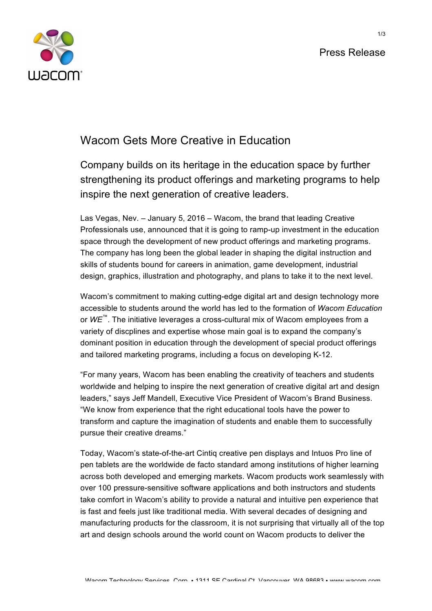



## Wacom Gets More Creative in Education

Company builds on its heritage in the education space by further strengthening its product offerings and marketing programs to help inspire the next generation of creative leaders.

Las Vegas, Nev. – January 5, 2016 – Wacom, the brand that leading Creative Professionals use, announced that it is going to ramp-up investment in the education space through the development of new product offerings and marketing programs. The company has long been the global leader in shaping the digital instruction and skills of students bound for careers in animation, game development, industrial design, graphics, illustration and photography, and plans to take it to the next level.

Wacom's commitment to making cutting-edge digital art and design technology more accessible to students around the world has led to the formation of *Wacom Education* or *WE*™. The initiative leverages a cross-cultural mix of Wacom employees from a variety of discplines and expertise whose main goal is to expand the company's dominant position in education through the development of special product offerings and tailored marketing programs, including a focus on developing K-12.

"For many years, Wacom has been enabling the creativity of teachers and students worldwide and helping to inspire the next generation of creative digital art and design leaders," says Jeff Mandell, Executive Vice President of Wacom's Brand Business. "We know from experience that the right educational tools have the power to transform and capture the imagination of students and enable them to successfully pursue their creative dreams."

Today, Wacom's state-of-the-art Cintiq creative pen displays and Intuos Pro line of pen tablets are the worldwide de facto standard among institutions of higher learning across both developed and emerging markets. Wacom products work seamlessly with over 100 pressure-sensitive software applications and both instructors and students take comfort in Wacom's ability to provide a natural and intuitive pen experience that is fast and feels just like traditional media. With several decades of designing and manufacturing products for the classroom, it is not surprising that virtually all of the top art and design schools around the world count on Wacom products to deliver the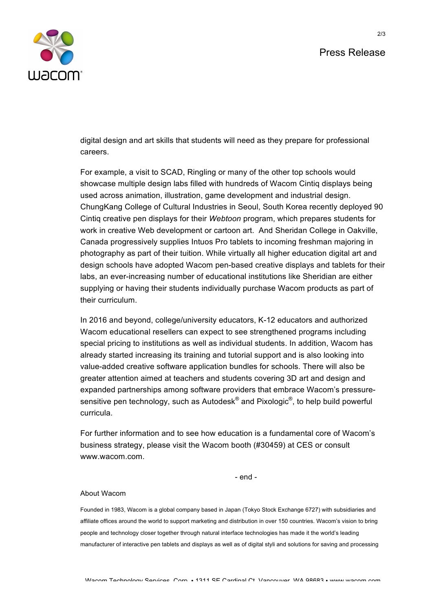## Press Release



digital design and art skills that students will need as they prepare for professional careers.

For example, a visit to SCAD, Ringling or many of the other top schools would showcase multiple design labs filled with hundreds of Wacom Cintiq displays being used across animation, illustration, game development and industrial design. ChungKang College of Cultural Industries in Seoul, South Korea recently deployed 90 Cintiq creative pen displays for their *Webtoon* program, which prepares students for work in creative Web development or cartoon art. And Sheridan College in Oakville, Canada progressively supplies Intuos Pro tablets to incoming freshman majoring in photography as part of their tuition. While virtually all higher education digital art and design schools have adopted Wacom pen-based creative displays and tablets for their labs, an ever-increasing number of educational institutions like Sheridian are either supplying or having their students individually purchase Wacom products as part of their curriculum.

In 2016 and beyond, college/university educators, K-12 educators and authorized Wacom educational resellers can expect to see strengthened programs including special pricing to institutions as well as individual students. In addition, Wacom has already started increasing its training and tutorial support and is also looking into value-added creative software application bundles for schools. There will also be greater attention aimed at teachers and students covering 3D art and design and expanded partnerships among software providers that embrace Wacom's pressuresensitive pen technology, such as Autodes $k^{\circledast}$  and Pixologic $^{\circledast}$ , to help build powerful curricula.

For further information and to see how education is a fundamental core of Wacom's business strategy, please visit the Wacom booth (#30459) at CES or consult www.wacom.com.

- end -

## About Wacom

Founded in 1983, Wacom is a global company based in Japan (Tokyo Stock Exchange 6727) with subsidiaries and affiliate offices around the world to support marketing and distribution in over 150 countries. Wacom's vision to bring people and technology closer together through natural interface technologies has made it the world's leading manufacturer of interactive pen tablets and displays as well as of digital styli and solutions for saving and processing